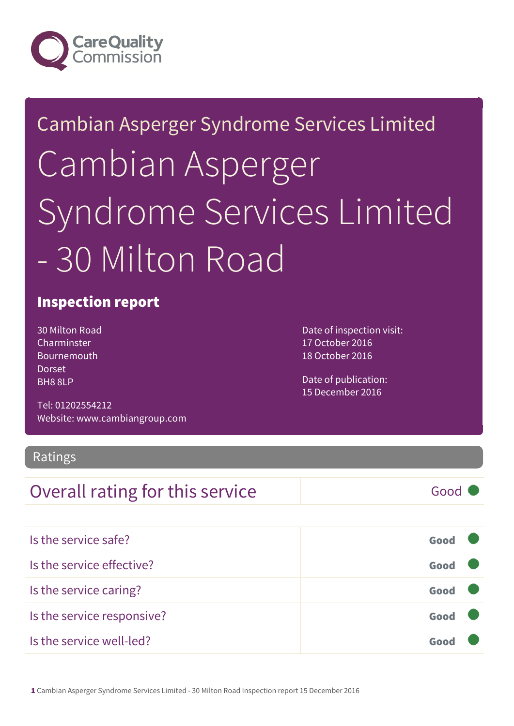

# Cambian Asperger Syndrome Services Limited Cambian Asperger Syndrome Services Limited - 30 Milton Road

### Inspection report

30 Milton Road Charminster Bournemouth Dorset BH8 8LP

Tel: 01202554212 Website: www.cambiangroup.com

Ratings

## **Overall rating for this service** and a service Good

| Is the service safe?       | Good |  |
|----------------------------|------|--|
| Is the service effective?  | Good |  |
| Is the service caring?     | Good |  |
| Is the service responsive? | Good |  |
| Is the service well-led?   | Goor |  |

Date of inspection visit: 17 October 2016 18 October 2016

Date of publication: 15 December 2016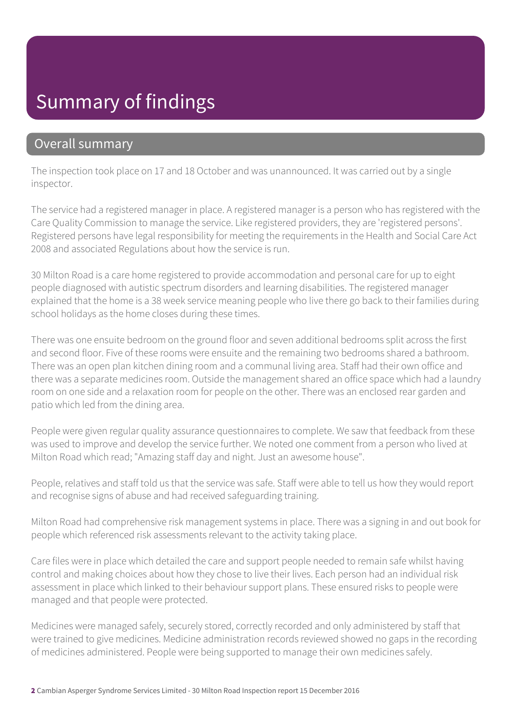## Summary of findings

### Overall summary

The inspection took place on 17 and 18 October and was unannounced. It was carried out by a single inspector.

The service had a registered manager in place. A registered manager is a person who has registered with the Care Quality Commission to manage the service. Like registered providers, they are 'registered persons'. Registered persons have legal responsibility for meeting the requirements in the Health and Social Care Act 2008 and associated Regulations about how the service is run.

30 Milton Road is a care home registered to provide accommodation and personal care for up to eight people diagnosed with autistic spectrum disorders and learning disabilities. The registered manager explained that the home is a 38 week service meaning people who live there go back to their families during school holidays as the home closes during these times.

There was one ensuite bedroom on the ground floor and seven additional bedrooms split across the first and second floor. Five of these rooms were ensuite and the remaining two bedrooms shared a bathroom. There was an open plan kitchen dining room and a communal living area. Staff had their own office and there was a separate medicines room. Outside the management shared an office space which had a laundry room on one side and a relaxation room for people on the other. There was an enclosed rear garden and patio which led from the dining area.

People were given regular quality assurance questionnaires to complete. We saw that feedback from these was used to improve and develop the service further. We noted one comment from a person who lived at Milton Road which read; "Amazing staff day and night. Just an awesome house".

People, relatives and staff told us that the service was safe. Staff were able to tell us how they would report and recognise signs of abuse and had received safeguarding training.

Milton Road had comprehensive risk management systems in place. There was a signing in and out book for people which referenced risk assessments relevant to the activity taking place.

Care files were in place which detailed the care and support people needed to remain safe whilst having control and making choices about how they chose to live their lives. Each person had an individual risk assessment in place which linked to their behaviour support plans. These ensured risks to people were managed and that people were protected.

Medicines were managed safely, securely stored, correctly recorded and only administered by staff that were trained to give medicines. Medicine administration records reviewed showed no gaps in the recording of medicines administered. People were being supported to manage their own medicines safely.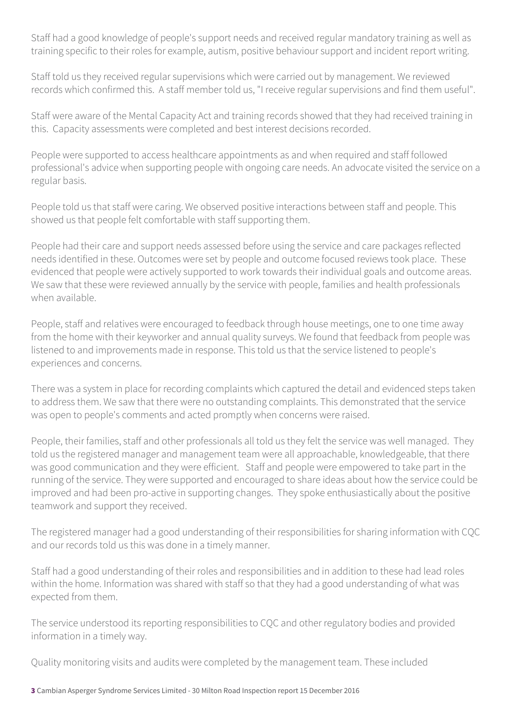Staff had a good knowledge of people's support needs and received regular mandatory training as well as training specific to their roles for example, autism, positive behaviour support and incident report writing.

Staff told us they received regular supervisions which were carried out by management. We reviewed records which confirmed this. A staff member told us, "I receive regular supervisions and find them useful".

Staff were aware of the Mental Capacity Act and training records showed that they had received training in this. Capacity assessments were completed and best interest decisions recorded.

People were supported to access healthcare appointments as and when required and staff followed professional's advice when supporting people with ongoing care needs. An advocate visited the service on a regular basis.

People told us that staff were caring. We observed positive interactions between staff and people. This showed us that people felt comfortable with staff supporting them.

People had their care and support needs assessed before using the service and care packages reflected needs identified in these. Outcomes were set by people and outcome focused reviews took place. These evidenced that people were actively supported to work towards their individual goals and outcome areas. We saw that these were reviewed annually by the service with people, families and health professionals when available.

People, staff and relatives were encouraged to feedback through house meetings, one to one time away from the home with their keyworker and annual quality surveys. We found that feedback from people was listened to and improvements made in response. This told us that the service listened to people's experiences and concerns.

There was a system in place for recording complaints which captured the detail and evidenced steps taken to address them. We saw that there were no outstanding complaints. This demonstrated that the service was open to people's comments and acted promptly when concerns were raised.

People, their families, staff and other professionals all told us they felt the service was well managed. They told us the registered manager and management team were all approachable, knowledgeable, that there was good communication and they were efficient. Staff and people were empowered to take part in the running of the service. They were supported and encouraged to share ideas about how the service could be improved and had been pro-active in supporting changes. They spoke enthusiastically about the positive teamwork and support they received.

The registered manager had a good understanding of their responsibilities for sharing information with CQC and our records told us this was done in a timely manner.

Staff had a good understanding of their roles and responsibilities and in addition to these had lead roles within the home. Information was shared with staff so that they had a good understanding of what was expected from them.

The service understood its reporting responsibilities to CQC and other regulatory bodies and provided information in a timely way.

Quality monitoring visits and audits were completed by the management team. These included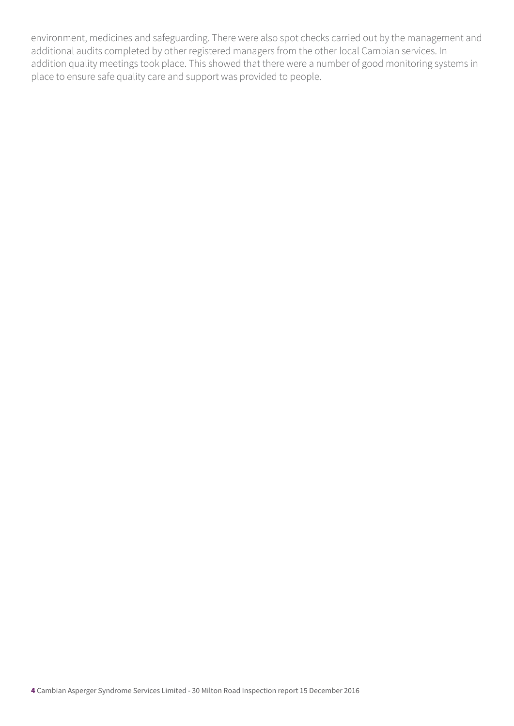environment, medicines and safeguarding. There were also spot checks carried out by the management and additional audits completed by other registered managers from the other local Cambian services. In addition quality meetings took place. This showed that there were a number of good monitoring systems in place to ensure safe quality care and support was provided to people.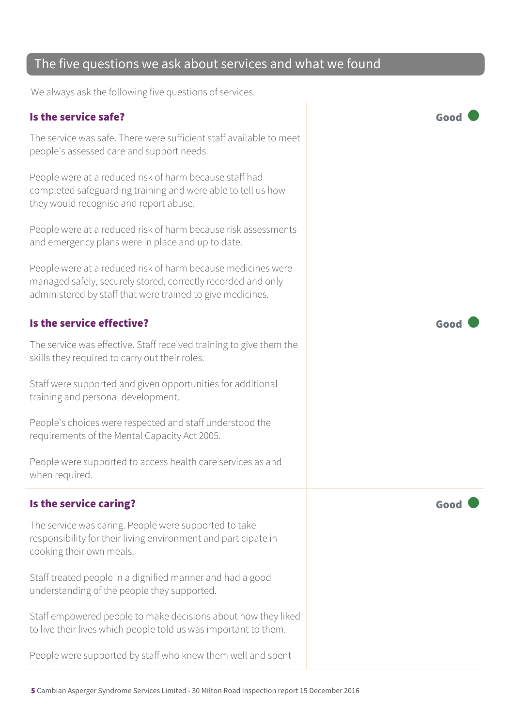#### The five questions we ask about services and what we found

We always ask the following five questions of services.

#### Is the service safe? Good

The service was safe. There were sufficient staff available to meet people's assessed care and support needs.

People were at a reduced risk of harm because staff had completed safeguarding training and were able to tell us how they would recognise and report abuse.

People were at a reduced risk of harm because risk assessments and emergency plans were in place and up to date.

People were at a reduced risk of harm because medicines were managed safely, securely stored, correctly recorded and only administered by staff that were trained to give medicines.

#### Is the service effective? Good

The service was effective. Staff received training to give them the skills they required to carry out their roles.

Staff were supported and given opportunities for additional training and personal development.

People's choices were respected and staff understood the requirements of the Mental Capacity Act 2005.

People were supported to access health care services as and when required.

#### Is the service caring? The service caring of the service care  $\blacksquare$

The service was caring. People were supported to take responsibility for their living environment and participate in cooking their own meals.

Staff treated people in a dignified manner and had a good understanding of the people they supported.

Staff empowered people to make decisions about how they liked to live their lives which people told us was important to them.

People were supported by staff who knew them well and spent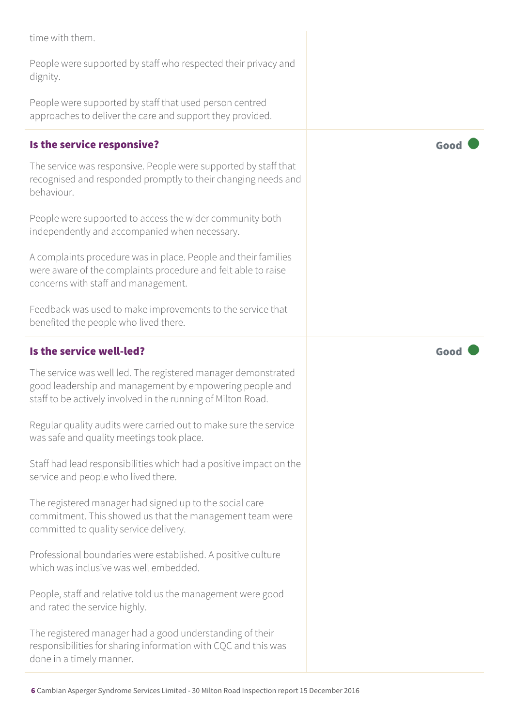time with them.

People were supported by staff who respected their privacy and dignity.

People were supported by staff that used person centred approaches to deliver the care and support they provided.

#### Is the service responsive?  $\Box$  Good  $\Box$  Good  $\Box$

The service was responsive. People were supported by staff that recognised and responded promptly to their changing needs and behaviour.

People were supported to access the wider community both independently and accompanied when necessary.

A complaints procedure was in place. People and their families were aware of the complaints procedure and felt able to raise concerns with staff and management.

Feedback was used to make improvements to the service that benefited the people who lived there.

#### Is the service well-led?  $\blacksquare$

The service was well led. The registered manager demonstrated good leadership and management by empowering people and staff to be actively involved in the running of Milton Road.

Regular quality audits were carried out to make sure the service was safe and quality meetings took place.

Staff had lead responsibilities which had a positive impact on the service and people who lived there.

The registered manager had signed up to the social care commitment. This showed us that the management team were committed to quality service delivery.

Professional boundaries were established. A positive culture which was inclusive was well embedded.

People, staff and relative told us the management were good and rated the service highly.

The registered manager had a good understanding of their responsibilities for sharing information with CQC and this was done in a timely manner.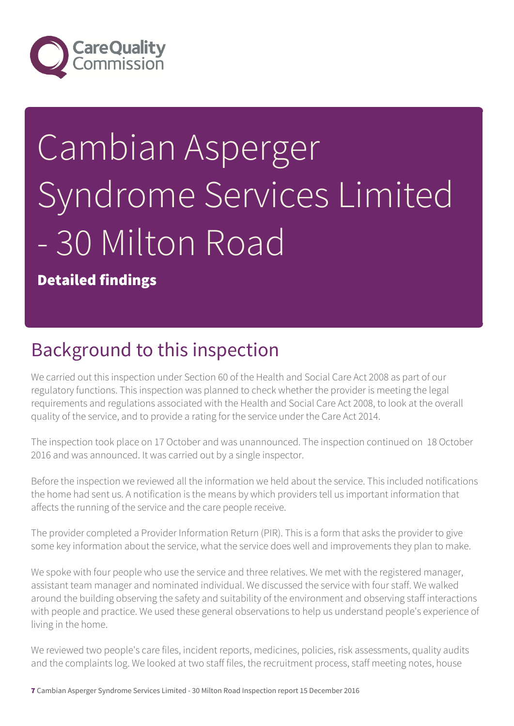

# Cambian Asperger Syndrome Services Limited - 30 Milton Road

Detailed findings

## Background to this inspection

We carried out this inspection under Section 60 of the Health and Social Care Act 2008 as part of our regulatory functions. This inspection was planned to check whether the provider is meeting the legal requirements and regulations associated with the Health and Social Care Act 2008, to look at the overall quality of the service, and to provide a rating for the service under the Care Act 2014.

The inspection took place on 17 October and was unannounced. The inspection continued on 18 October 2016 and was announced. It was carried out by a single inspector.

Before the inspection we reviewed all the information we held about the service. This included notifications the home had sent us. A notification is the means by which providers tell us important information that affects the running of the service and the care people receive.

The provider completed a Provider Information Return (PIR). This is a form that asks the provider to give some key information about the service, what the service does well and improvements they plan to make.

We spoke with four people who use the service and three relatives. We met with the registered manager, assistant team manager and nominated individual. We discussed the service with four staff. We walked around the building observing the safety and suitability of the environment and observing staff interactions with people and practice. We used these general observations to help us understand people's experience of living in the home.

We reviewed two people's care files, incident reports, medicines, policies, risk assessments, quality audits and the complaints log. We looked at two staff files, the recruitment process, staff meeting notes, house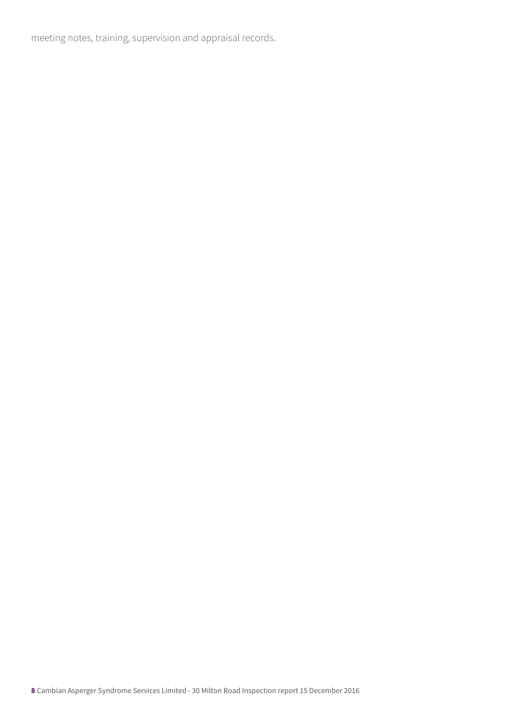meeting notes, training, supervision and appraisal records.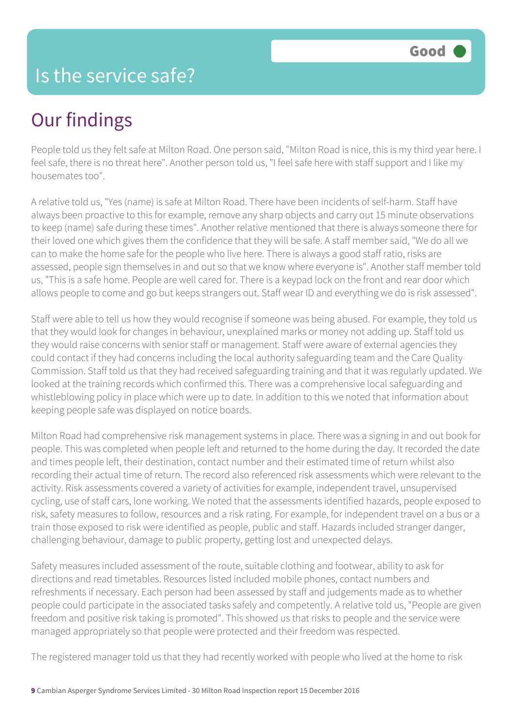People told us they felt safe at Milton Road. One person said, "Milton Road is nice, this is my third year here. I feel safe, there is no threat here". Another person told us, "I feel safe here with staff support and I like my housemates too".

A relative told us, "Yes (name) is safe at Milton Road. There have been incidents of self-harm. Staff have always been proactive to this for example, remove any sharp objects and carry out 15 minute observations to keep (name) safe during these times". Another relative mentioned that there is always someone there for their loved one which gives them the confidence that they will be safe. A staff member said, "We do all we can to make the home safe for the people who live here. There is always a good staff ratio, risks are assessed, people sign themselves in and out so that we know where everyone is". Another staff member told us, "This is a safe home. People are well cared for. There is a keypad lock on the front and rear door which allows people to come and go but keeps strangers out. Staff wear ID and everything we do is risk assessed".

Staff were able to tell us how they would recognise if someone was being abused. For example, they told us that they would look for changes in behaviour, unexplained marks or money not adding up. Staff told us they would raise concerns with senior staff or management. Staff were aware of external agencies they could contact if they had concerns including the local authority safeguarding team and the Care Quality Commission. Staff told us that they had received safeguarding training and that it was regularly updated. We looked at the training records which confirmed this. There was a comprehensive local safeguarding and whistleblowing policy in place which were up to date. In addition to this we noted that information about keeping people safe was displayed on notice boards.

Milton Road had comprehensive risk management systems in place. There was a signing in and out book for people. This was completed when people left and returned to the home during the day. It recorded the date and times people left, their destination, contact number and their estimated time of return whilst also recording their actual time of return. The record also referenced risk assessments which were relevant to the activity. Risk assessments covered a variety of activities for example, independent travel, unsupervised cycling, use of staff cars, lone working. We noted that the assessments identified hazards, people exposed to risk, safety measures to follow, resources and a risk rating. For example, for independent travel on a bus or a train those exposed to risk were identified as people, public and staff. Hazards included stranger danger, challenging behaviour, damage to public property, getting lost and unexpected delays.

Safety measures included assessment of the route, suitable clothing and footwear, ability to ask for directions and read timetables. Resources listed included mobile phones, contact numbers and refreshments if necessary. Each person had been assessed by staff and judgements made as to whether people could participate in the associated tasks safely and competently. A relative told us, "People are given freedom and positive risk taking is promoted". This showed us that risks to people and the service were managed appropriately so that people were protected and their freedom was respected.

The registered manager told us that they had recently worked with people who lived at the home to risk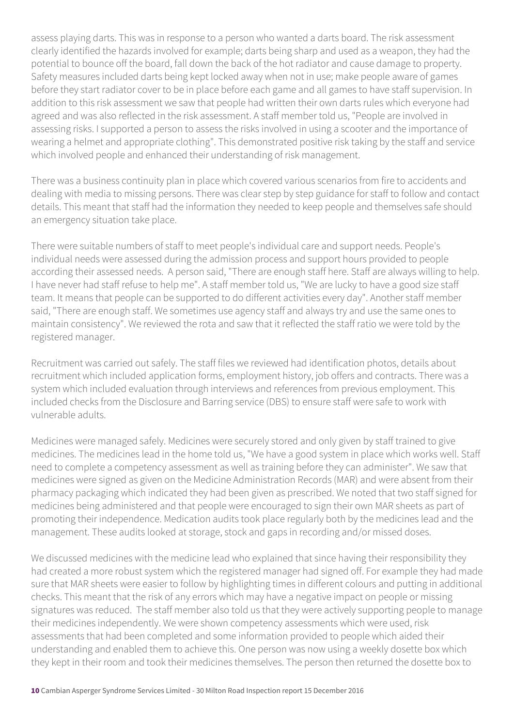assess playing darts. This was in response to a person who wanted a darts board. The risk assessment clearly identified the hazards involved for example; darts being sharp and used as a weapon, they had the potential to bounce off the board, fall down the back of the hot radiator and cause damage to property. Safety measures included darts being kept locked away when not in use; make people aware of games before they start radiator cover to be in place before each game and all games to have staff supervision. In addition to this risk assessment we saw that people had written their own darts rules which everyone had agreed and was also reflected in the risk assessment. A staff member told us, "People are involved in assessing risks. I supported a person to assess the risks involved in using a scooter and the importance of wearing a helmet and appropriate clothing". This demonstrated positive risk taking by the staff and service which involved people and enhanced their understanding of risk management.

There was a business continuity plan in place which covered various scenarios from fire to accidents and dealing with media to missing persons. There was clear step by step guidance for staff to follow and contact details. This meant that staff had the information they needed to keep people and themselves safe should an emergency situation take place.

There were suitable numbers of staff to meet people's individual care and support needs. People's individual needs were assessed during the admission process and support hours provided to people according their assessed needs. A person said, "There are enough staff here. Staff are always willing to help. I have never had staff refuse to help me". A staff member told us, "We are lucky to have a good size staff team. It means that people can be supported to do different activities every day". Another staff member said, "There are enough staff. We sometimes use agency staff and always try and use the same ones to maintain consistency". We reviewed the rota and saw that it reflected the staff ratio we were told by the registered manager.

Recruitment was carried out safely. The staff files we reviewed had identification photos, details about recruitment which included application forms, employment history, job offers and contracts. There was a system which included evaluation through interviews and references from previous employment. This included checks from the Disclosure and Barring service (DBS) to ensure staff were safe to work with vulnerable adults.

Medicines were managed safely. Medicines were securely stored and only given by staff trained to give medicines. The medicines lead in the home told us, "We have a good system in place which works well. Staff need to complete a competency assessment as well as training before they can administer". We saw that medicines were signed as given on the Medicine Administration Records (MAR) and were absent from their pharmacy packaging which indicated they had been given as prescribed. We noted that two staff signed for medicines being administered and that people were encouraged to sign their own MAR sheets as part of promoting their independence. Medication audits took place regularly both by the medicines lead and the management. These audits looked at storage, stock and gaps in recording and/or missed doses.

We discussed medicines with the medicine lead who explained that since having their responsibility they had created a more robust system which the registered manager had signed off. For example they had made sure that MAR sheets were easier to follow by highlighting times in different colours and putting in additional checks. This meant that the risk of any errors which may have a negative impact on people or missing signatures was reduced. The staff member also told us that they were actively supporting people to manage their medicines independently. We were shown competency assessments which were used, risk assessments that had been completed and some information provided to people which aided their understanding and enabled them to achieve this. One person was now using a weekly dosette box which they kept in their room and took their medicines themselves. The person then returned the dosette box to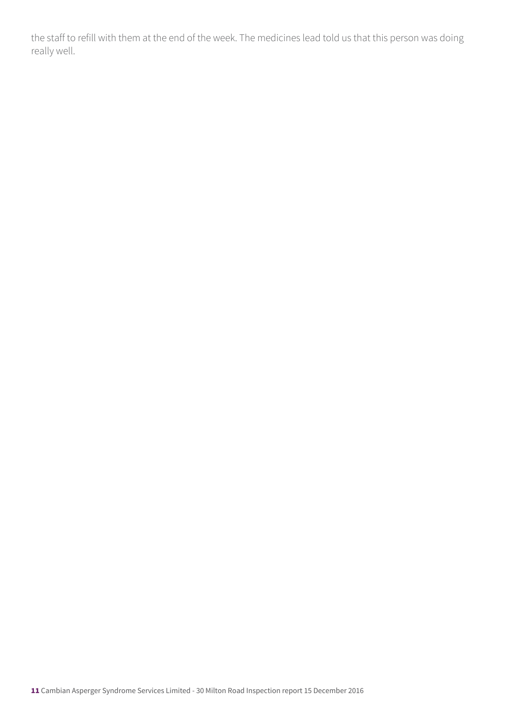the staff to refill with them at the end of the week. The medicines lead told us that this person was doing really well.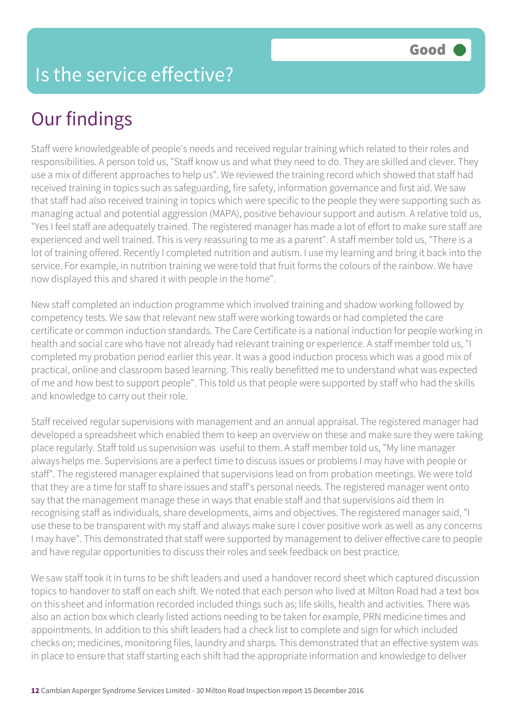Staff were knowledgeable of people's needs and received regular training which related to their roles and responsibilities. A person told us, "Staff know us and what they need to do. They are skilled and clever. They use a mix of different approaches to help us". We reviewed the training record which showed that staff had received training in topics such as safeguarding, fire safety, information governance and first aid. We saw that staff had also received training in topics which were specific to the people they were supporting such as managing actual and potential aggression (MAPA), positive behaviour support and autism. A relative told us, "Yes I feel staff are adequately trained. The registered manager has made a lot of effort to make sure staff are experienced and well trained. This is very reassuring to me as a parent". A staff member told us, "There is a lot of training offered. Recently I completed nutrition and autism. I use my learning and bring it back into the service. For example, in nutrition training we were told that fruit forms the colours of the rainbow. We have now displayed this and shared it with people in the home".

New staff completed an induction programme which involved training and shadow working followed by competency tests. We saw that relevant new staff were working towards or had completed the care certificate or common induction standards. The Care Certificate is a national induction for people working in health and social care who have not already had relevant training or experience. A staff member told us, "I completed my probation period earlier this year. It was a good induction process which was a good mix of practical, online and classroom based learning. This really benefitted me to understand what was expected of me and how best to support people". This told us that people were supported by staff who had the skills and knowledge to carry out their role.

Staff received regular supervisions with management and an annual appraisal. The registered manager had developed a spreadsheet which enabled them to keep an overview on these and make sure they were taking place regularly. Staff told us supervision was useful to them. A staff member told us, "My line manager always helps me. Supervisions are a perfect time to discuss issues or problems I may have with people or staff". The registered manager explained that supervisions lead on from probation meetings. We were told that they are a time for staff to share issues and staff's personal needs. The registered manager went onto say that the management manage these in ways that enable staff and that supervisions aid them in recognising staff as individuals, share developments, aims and objectives. The registered manager said, "I use these to be transparent with my staff and always make sure I cover positive work as well as any concerns I may have". This demonstrated that staff were supported by management to deliver effective care to people and have regular opportunities to discuss their roles and seek feedback on best practice.

We saw staff took it in turns to be shift leaders and used a handover record sheet which captured discussion topics to handover to staff on each shift. We noted that each person who lived at Milton Road had a text box on this sheet and information recorded included things such as; life skills, health and activities. There was also an action box which clearly listed actions needing to be taken for example, PRN medicine times and appointments. In addition to this shift leaders had a check list to complete and sign for which included checks on; medicines, monitoring files, laundry and sharps. This demonstrated that an effective system was in place to ensure that staff starting each shift had the appropriate information and knowledge to deliver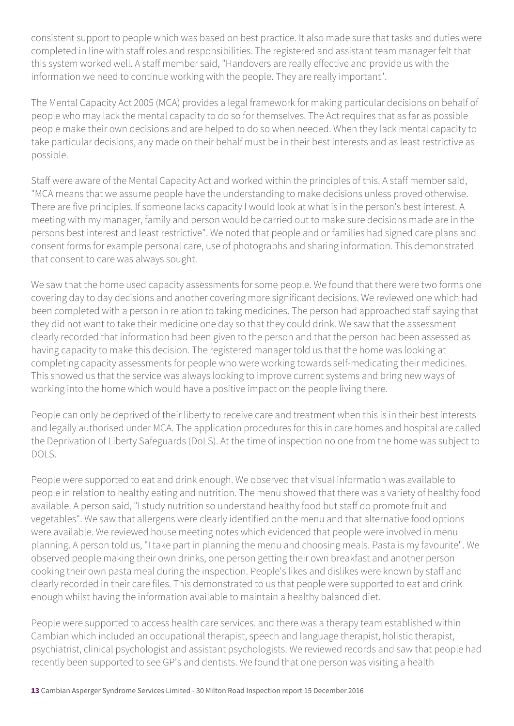consistent support to people which was based on best practice. It also made sure that tasks and duties were completed in line with staff roles and responsibilities. The registered and assistant team manager felt that this system worked well. A staff member said, "Handovers are really effective and provide us with the information we need to continue working with the people. They are really important".

The Mental Capacity Act 2005 (MCA) provides a legal framework for making particular decisions on behalf of people who may lack the mental capacity to do so for themselves. The Act requires that as far as possible people make their own decisions and are helped to do so when needed. When they lack mental capacity to take particular decisions, any made on their behalf must be in their best interests and as least restrictive as possible.

Staff were aware of the Mental Capacity Act and worked within the principles of this. A staff member said, "MCA means that we assume people have the understanding to make decisions unless proved otherwise. There are five principles. If someone lacks capacity I would look at what is in the person's best interest. A meeting with my manager, family and person would be carried out to make sure decisions made are in the persons best interest and least restrictive". We noted that people and or families had signed care plans and consent forms for example personal care, use of photographs and sharing information. This demonstrated that consent to care was always sought.

We saw that the home used capacity assessments for some people. We found that there were two forms one covering day to day decisions and another covering more significant decisions. We reviewed one which had been completed with a person in relation to taking medicines. The person had approached staff saying that they did not want to take their medicine one day so that they could drink. We saw that the assessment clearly recorded that information had been given to the person and that the person had been assessed as having capacity to make this decision. The registered manager told us that the home was looking at completing capacity assessments for people who were working towards self-medicating their medicines. This showed us that the service was always looking to improve current systems and bring new ways of working into the home which would have a positive impact on the people living there.

People can only be deprived of their liberty to receive care and treatment when this is in their best interests and legally authorised under MCA. The application procedures for this in care homes and hospital are called the Deprivation of Liberty Safeguards (DoLS). At the time of inspection no one from the home was subject to DOLS.

People were supported to eat and drink enough. We observed that visual information was available to people in relation to healthy eating and nutrition. The menu showed that there was a variety of healthy food available. A person said, "I study nutrition so understand healthy food but staff do promote fruit and vegetables". We saw that allergens were clearly identified on the menu and that alternative food options were available. We reviewed house meeting notes which evidenced that people were involved in menu planning. A person told us, "I take part in planning the menu and choosing meals. Pasta is my favourite". We observed people making their own drinks, one person getting their own breakfast and another person cooking their own pasta meal during the inspection. People's likes and dislikes were known by staff and clearly recorded in their care files. This demonstrated to us that people were supported to eat and drink enough whilst having the information available to maintain a healthy balanced diet.

People were supported to access health care services. and there was a therapy team established within Cambian which included an occupational therapist, speech and language therapist, holistic therapist, psychiatrist, clinical psychologist and assistant psychologists. We reviewed records and saw that people had recently been supported to see GP's and dentists. We found that one person was visiting a health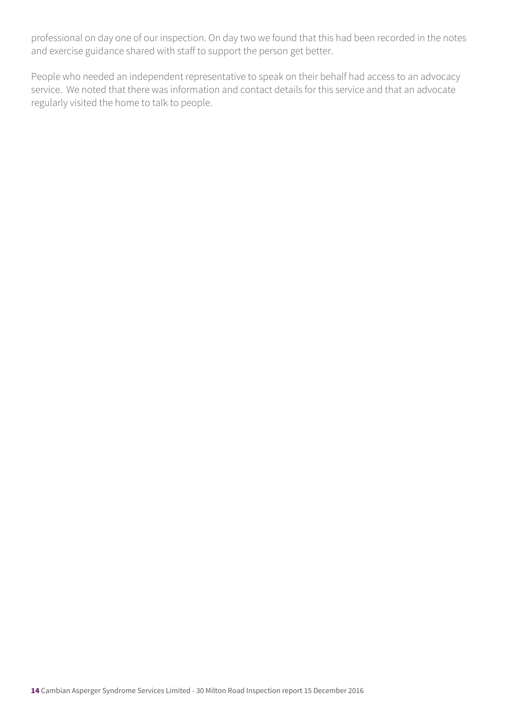professional on day one of our inspection. On day two we found that this had been recorded in the notes and exercise guidance shared with staff to support the person get better.

People who needed an independent representative to speak on their behalf had access to an advocacy service. We noted that there was information and contact details for this service and that an advocate regularly visited the home to talk to people.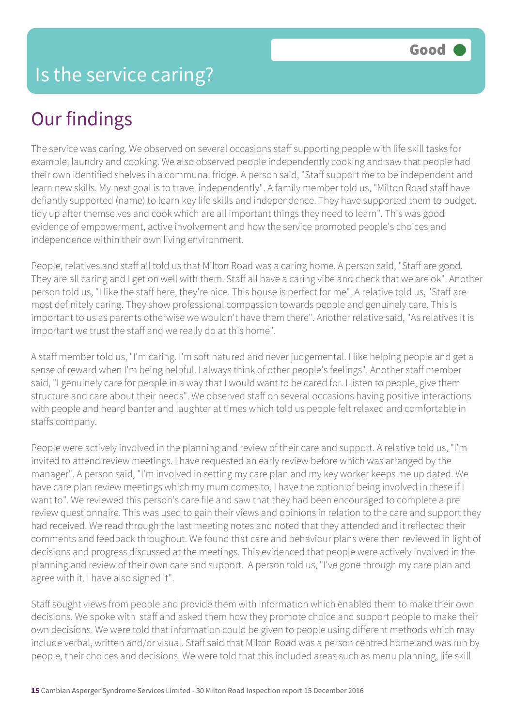The service was caring. We observed on several occasions staff supporting people with life skill tasks for example; laundry and cooking. We also observed people independently cooking and saw that people had their own identified shelves in a communal fridge. A person said, "Staff support me to be independent and learn new skills. My next goal is to travel independently". A family member told us, "Milton Road staff have defiantly supported (name) to learn key life skills and independence. They have supported them to budget, tidy up after themselves and cook which are all important things they need to learn". This was good evidence of empowerment, active involvement and how the service promoted people's choices and independence within their own living environment.

People, relatives and staff all told us that Milton Road was a caring home. A person said, "Staff are good. They are all caring and I get on well with them. Staff all have a caring vibe and check that we are ok". Another person told us, "I like the staff here, they're nice. This house is perfect for me". A relative told us, "Staff are most definitely caring. They show professional compassion towards people and genuinely care. This is important to us as parents otherwise we wouldn't have them there". Another relative said, "As relatives it is important we trust the staff and we really do at this home".

A staff member told us, "I'm caring. I'm soft natured and never judgemental. I like helping people and get a sense of reward when I'm being helpful. I always think of other people's feelings". Another staff member said, "I genuinely care for people in a way that I would want to be cared for. I listen to people, give them structure and care about their needs". We observed staff on several occasions having positive interactions with people and heard banter and laughter at times which told us people felt relaxed and comfortable in staffs company.

People were actively involved in the planning and review of their care and support. A relative told us, "I'm invited to attend review meetings. I have requested an early review before which was arranged by the manager". A person said, "I'm involved in setting my care plan and my key worker keeps me up dated. We have care plan review meetings which my mum comes to, I have the option of being involved in these if I want to". We reviewed this person's care file and saw that they had been encouraged to complete a pre review questionnaire. This was used to gain their views and opinions in relation to the care and support they had received. We read through the last meeting notes and noted that they attended and it reflected their comments and feedback throughout. We found that care and behaviour plans were then reviewed in light of decisions and progress discussed at the meetings. This evidenced that people were actively involved in the planning and review of their own care and support. A person told us, "I've gone through my care plan and agree with it. I have also signed it".

Staff sought views from people and provide them with information which enabled them to make their own decisions. We spoke with staff and asked them how they promote choice and support people to make their own decisions. We were told that information could be given to people using different methods which may include verbal, written and/or visual. Staff said that Milton Road was a person centred home and was run by people, their choices and decisions. We were told that this included areas such as menu planning, life skill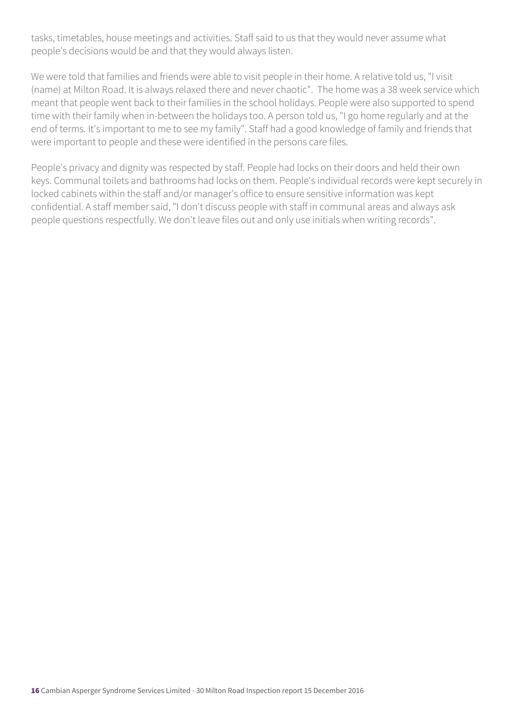tasks, timetables, house meetings and activities. Staff said to us that they would never assume what people's decisions would be and that they would always listen.

We were told that families and friends were able to visit people in their home. A relative told us, "I visit (name) at Milton Road. It is always relaxed there and never chaotic". The home was a 38 week service which meant that people went back to their families in the school holidays. People were also supported to spend time with their family when in-between the holidays too. A person told us, "I go home regularly and at the end of terms. It's important to me to see my family". Staff had a good knowledge of family and friends that were important to people and these were identified in the persons care files.

People's privacy and dignity was respected by staff. People had locks on their doors and held their own keys. Communal toilets and bathrooms had locks on them. People's individual records were kept securely in locked cabinets within the staff and/or manager's office to ensure sensitive information was kept confidential. A staff member said, "I don't discuss people with staff in communal areas and always ask people questions respectfully. We don't leave files out and only use initials when writing records".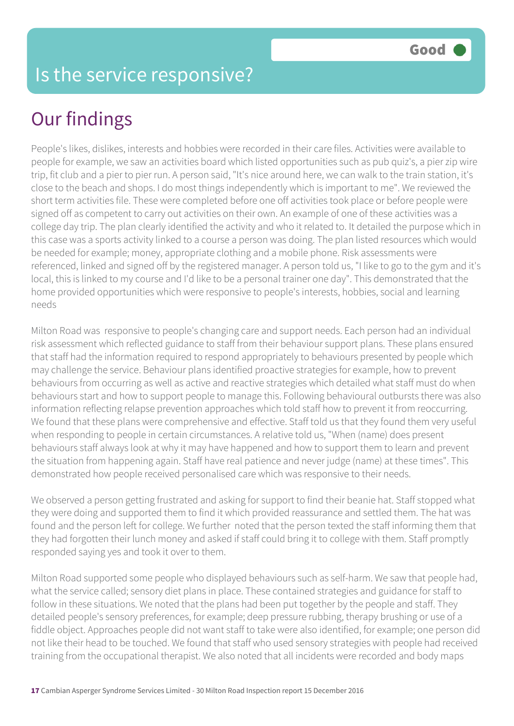People's likes, dislikes, interests and hobbies were recorded in their care files. Activities were available to people for example, we saw an activities board which listed opportunities such as pub quiz's, a pier zip wire trip, fit club and a pier to pier run. A person said, "It's nice around here, we can walk to the train station, it's close to the beach and shops. I do most things independently which is important to me". We reviewed the short term activities file. These were completed before one off activities took place or before people were signed off as competent to carry out activities on their own. An example of one of these activities was a college day trip. The plan clearly identified the activity and who it related to. It detailed the purpose which in this case was a sports activity linked to a course a person was doing. The plan listed resources which would be needed for example; money, appropriate clothing and a mobile phone. Risk assessments were referenced, linked and signed off by the registered manager. A person told us, "I like to go to the gym and it's local, this is linked to my course and I'd like to be a personal trainer one day". This demonstrated that the home provided opportunities which were responsive to people's interests, hobbies, social and learning needs

Milton Road was responsive to people's changing care and support needs. Each person had an individual risk assessment which reflected guidance to staff from their behaviour support plans. These plans ensured that staff had the information required to respond appropriately to behaviours presented by people which may challenge the service. Behaviour plans identified proactive strategies for example, how to prevent behaviours from occurring as well as active and reactive strategies which detailed what staff must do when behaviours start and how to support people to manage this. Following behavioural outbursts there was also information reflecting relapse prevention approaches which told staff how to prevent it from reoccurring. We found that these plans were comprehensive and effective. Staff told us that they found them very useful when responding to people in certain circumstances. A relative told us, "When (name) does present behaviours staff always look at why it may have happened and how to support them to learn and prevent the situation from happening again. Staff have real patience and never judge (name) at these times". This demonstrated how people received personalised care which was responsive to their needs.

We observed a person getting frustrated and asking for support to find their beanie hat. Staff stopped what they were doing and supported them to find it which provided reassurance and settled them. The hat was found and the person left for college. We further noted that the person texted the staff informing them that they had forgotten their lunch money and asked if staff could bring it to college with them. Staff promptly responded saying yes and took it over to them.

Milton Road supported some people who displayed behaviours such as self-harm. We saw that people had, what the service called; sensory diet plans in place. These contained strategies and guidance for staff to follow in these situations. We noted that the plans had been put together by the people and staff. They detailed people's sensory preferences, for example; deep pressure rubbing, therapy brushing or use of a fiddle object. Approaches people did not want staff to take were also identified, for example; one person did not like their head to be touched. We found that staff who used sensory strategies with people had received training from the occupational therapist. We also noted that all incidents were recorded and body maps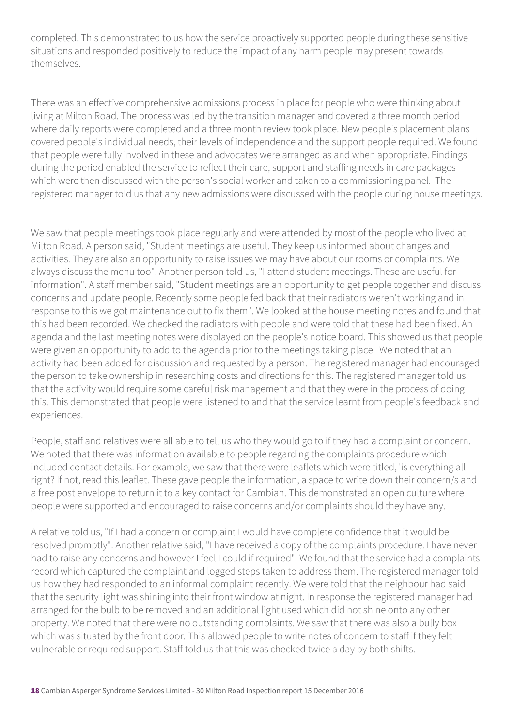completed. This demonstrated to us how the service proactively supported people during these sensitive situations and responded positively to reduce the impact of any harm people may present towards themselves.

There was an effective comprehensive admissions process in place for people who were thinking about living at Milton Road. The process was led by the transition manager and covered a three month period where daily reports were completed and a three month review took place. New people's placement plans covered people's individual needs, their levels of independence and the support people required. We found that people were fully involved in these and advocates were arranged as and when appropriate. Findings during the period enabled the service to reflect their care, support and staffing needs in care packages which were then discussed with the person's social worker and taken to a commissioning panel. The registered manager told us that any new admissions were discussed with the people during house meetings.

We saw that people meetings took place regularly and were attended by most of the people who lived at Milton Road. A person said, "Student meetings are useful. They keep us informed about changes and activities. They are also an opportunity to raise issues we may have about our rooms or complaints. We always discuss the menu too". Another person told us, "I attend student meetings. These are useful for information". A staff member said, "Student meetings are an opportunity to get people together and discuss concerns and update people. Recently some people fed back that their radiators weren't working and in response to this we got maintenance out to fix them". We looked at the house meeting notes and found that this had been recorded. We checked the radiators with people and were told that these had been fixed. An agenda and the last meeting notes were displayed on the people's notice board. This showed us that people were given an opportunity to add to the agenda prior to the meetings taking place. We noted that an activity had been added for discussion and requested by a person. The registered manager had encouraged the person to take ownership in researching costs and directions for this. The registered manager told us that the activity would require some careful risk management and that they were in the process of doing this. This demonstrated that people were listened to and that the service learnt from people's feedback and experiences.

People, staff and relatives were all able to tell us who they would go to if they had a complaint or concern. We noted that there was information available to people regarding the complaints procedure which included contact details. For example, we saw that there were leaflets which were titled, 'is everything all right? If not, read this leaflet. These gave people the information, a space to write down their concern/s and a free post envelope to return it to a key contact for Cambian. This demonstrated an open culture where people were supported and encouraged to raise concerns and/or complaints should they have any.

A relative told us, "If I had a concern or complaint I would have complete confidence that it would be resolved promptly". Another relative said, "I have received a copy of the complaints procedure. I have never had to raise any concerns and however I feel I could if required". We found that the service had a complaints record which captured the complaint and logged steps taken to address them. The registered manager told us how they had responded to an informal complaint recently. We were told that the neighbour had said that the security light was shining into their front window at night. In response the registered manager had arranged for the bulb to be removed and an additional light used which did not shine onto any other property. We noted that there were no outstanding complaints. We saw that there was also a bully box which was situated by the front door. This allowed people to write notes of concern to staff if they felt vulnerable or required support. Staff told us that this was checked twice a day by both shifts.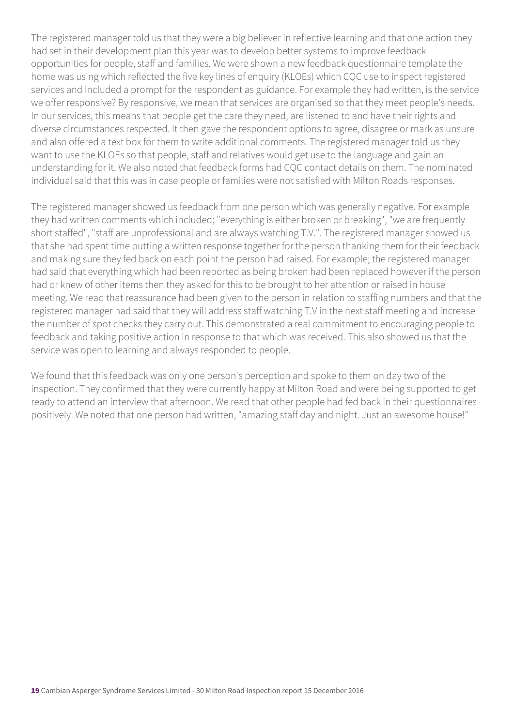The registered manager told us that they were a big believer in reflective learning and that one action they had set in their development plan this year was to develop better systems to improve feedback opportunities for people, staff and families. We were shown a new feedback questionnaire template the home was using which reflected the five key lines of enquiry (KLOEs) which CQC use to inspect registered services and included a prompt for the respondent as guidance. For example they had written, is the service we offer responsive? By responsive, we mean that services are organised so that they meet people's needs. In our services, this means that people get the care they need, are listened to and have their rights and diverse circumstances respected. It then gave the respondent options to agree, disagree or mark as unsure and also offered a text box for them to write additional comments. The registered manager told us they want to use the KLOEs so that people, staff and relatives would get use to the language and gain an understanding for it. We also noted that feedback forms had CQC contact details on them. The nominated individual said that this was in case people or families were not satisfied with Milton Roads responses.

The registered manager showed us feedback from one person which was generally negative. For example they had written comments which included; "everything is either broken or breaking", "we are frequently short staffed", "staff are unprofessional and are always watching T.V.". The registered manager showed us that she had spent time putting a written response together for the person thanking them for their feedback and making sure they fed back on each point the person had raised. For example; the registered manager had said that everything which had been reported as being broken had been replaced however if the person had or knew of other items then they asked for this to be brought to her attention or raised in house meeting. We read that reassurance had been given to the person in relation to staffing numbers and that the registered manager had said that they will address staff watching T.V in the next staff meeting and increase the number of spot checks they carry out. This demonstrated a real commitment to encouraging people to feedback and taking positive action in response to that which was received. This also showed us that the service was open to learning and always responded to people.

We found that this feedback was only one person's perception and spoke to them on day two of the inspection. They confirmed that they were currently happy at Milton Road and were being supported to get ready to attend an interview that afternoon. We read that other people had fed back in their questionnaires positively. We noted that one person had written, "amazing staff day and night. Just an awesome house!"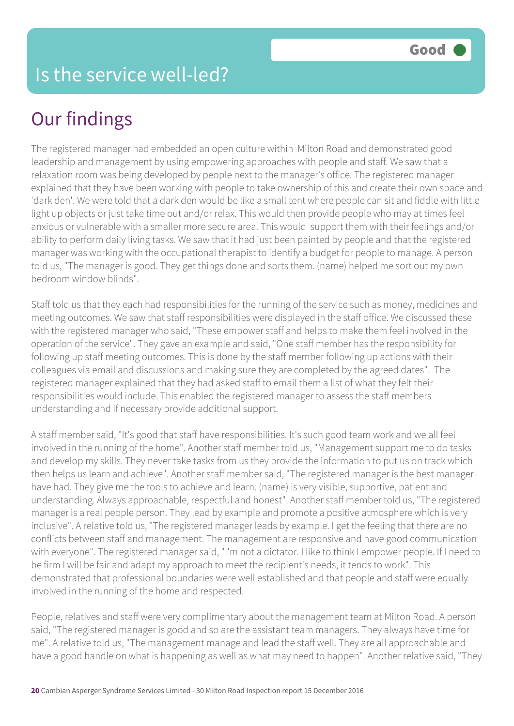The registered manager had embedded an open culture within Milton Road and demonstrated good leadership and management by using empowering approaches with people and staff. We saw that a relaxation room was being developed by people next to the manager's office. The registered manager explained that they have been working with people to take ownership of this and create their own space and 'dark den'. We were told that a dark den would be like a small tent where people can sit and fiddle with little light up objects or just take time out and/or relax. This would then provide people who may at times feel anxious or vulnerable with a smaller more secure area. This would support them with their feelings and/or ability to perform daily living tasks. We saw that it had just been painted by people and that the registered manager was working with the occupational therapist to identify a budget for people to manage. A person told us, "The manager is good. They get things done and sorts them. (name) helped me sort out my own bedroom window blinds".

Staff told us that they each had responsibilities for the running of the service such as money, medicines and meeting outcomes. We saw that staff responsibilities were displayed in the staff office. We discussed these with the registered manager who said, "These empower staff and helps to make them feel involved in the operation of the service". They gave an example and said, "One staff member has the responsibility for following up staff meeting outcomes. This is done by the staff member following up actions with their colleagues via email and discussions and making sure they are completed by the agreed dates". The registered manager explained that they had asked staff to email them a list of what they felt their responsibilities would include. This enabled the registered manager to assess the staff members understanding and if necessary provide additional support.

A staff member said, "It's good that staff have responsibilities. It's such good team work and we all feel involved in the running of the home". Another staff member told us, "Management support me to do tasks and develop my skills. They never take tasks from us they provide the information to put us on track which then helps us learn and achieve". Another staff member said, "The registered manager is the best manager I have had. They give me the tools to achieve and learn. (name) is very visible, supportive, patient and understanding. Always approachable, respectful and honest". Another staff member told us, "The registered manager is a real people person. They lead by example and promote a positive atmosphere which is very inclusive". A relative told us, "The registered manager leads by example. I get the feeling that there are no conflicts between staff and management. The management are responsive and have good communication with everyone". The registered manager said, "I'm not a dictator. I like to think I empower people. If I need to be firm I will be fair and adapt my approach to meet the recipient's needs, it tends to work". This demonstrated that professional boundaries were well established and that people and staff were equally involved in the running of the home and respected.

People, relatives and staff were very complimentary about the management team at Milton Road. A person said, "The registered manager is good and so are the assistant team managers. They always have time for me". A relative told us, "The management manage and lead the staff well. They are all approachable and have a good handle on what is happening as well as what may need to happen". Another relative said, "They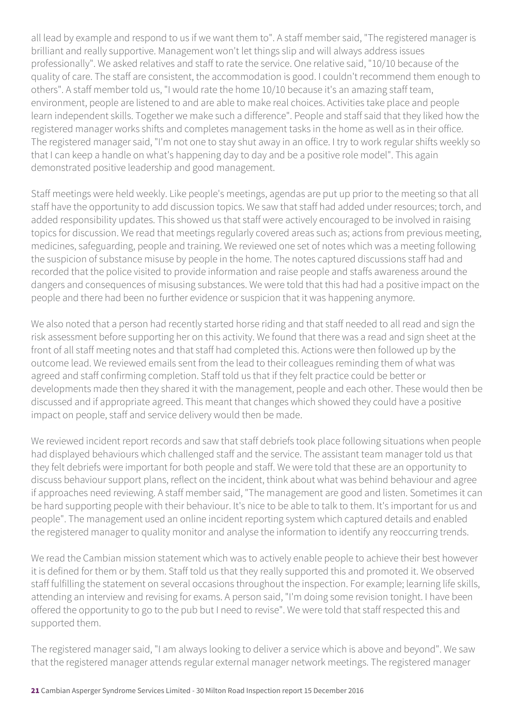all lead by example and respond to us if we want them to". A staff member said, "The registered manager is brilliant and really supportive. Management won't let things slip and will always address issues professionally". We asked relatives and staff to rate the service. One relative said, "10/10 because of the quality of care. The staff are consistent, the accommodation is good. I couldn't recommend them enough to others". A staff member told us, "I would rate the home 10/10 because it's an amazing staff team, environment, people are listened to and are able to make real choices. Activities take place and people learn independent skills. Together we make such a difference". People and staff said that they liked how the registered manager works shifts and completes management tasks in the home as well as in their office. The registered manager said, "I'm not one to stay shut away in an office. I try to work regular shifts weekly so that I can keep a handle on what's happening day to day and be a positive role model". This again demonstrated positive leadership and good management.

Staff meetings were held weekly. Like people's meetings, agendas are put up prior to the meeting so that all staff have the opportunity to add discussion topics. We saw that staff had added under resources; torch, and added responsibility updates. This showed us that staff were actively encouraged to be involved in raising topics for discussion. We read that meetings regularly covered areas such as; actions from previous meeting, medicines, safeguarding, people and training. We reviewed one set of notes which was a meeting following the suspicion of substance misuse by people in the home. The notes captured discussions staff had and recorded that the police visited to provide information and raise people and staffs awareness around the dangers and consequences of misusing substances. We were told that this had had a positive impact on the people and there had been no further evidence or suspicion that it was happening anymore.

We also noted that a person had recently started horse riding and that staff needed to all read and sign the risk assessment before supporting her on this activity. We found that there was a read and sign sheet at the front of all staff meeting notes and that staff had completed this. Actions were then followed up by the outcome lead. We reviewed emails sent from the lead to their colleagues reminding them of what was agreed and staff confirming completion. Staff told us that if they felt practice could be better or developments made then they shared it with the management, people and each other. These would then be discussed and if appropriate agreed. This meant that changes which showed they could have a positive impact on people, staff and service delivery would then be made.

We reviewed incident report records and saw that staff debriefs took place following situations when people had displayed behaviours which challenged staff and the service. The assistant team manager told us that they felt debriefs were important for both people and staff. We were told that these are an opportunity to discuss behaviour support plans, reflect on the incident, think about what was behind behaviour and agree if approaches need reviewing. A staff member said, "The management are good and listen. Sometimes it can be hard supporting people with their behaviour. It's nice to be able to talk to them. It's important for us and people". The management used an online incident reporting system which captured details and enabled the registered manager to quality monitor and analyse the information to identify any reoccurring trends.

We read the Cambian mission statement which was to actively enable people to achieve their best however it is defined for them or by them. Staff told us that they really supported this and promoted it. We observed staff fulfilling the statement on several occasions throughout the inspection. For example; learning life skills, attending an interview and revising for exams. A person said, "I'm doing some revision tonight. I have been offered the opportunity to go to the pub but I need to revise". We were told that staff respected this and supported them.

The registered manager said, "I am always looking to deliver a service which is above and beyond". We saw that the registered manager attends regular external manager network meetings. The registered manager